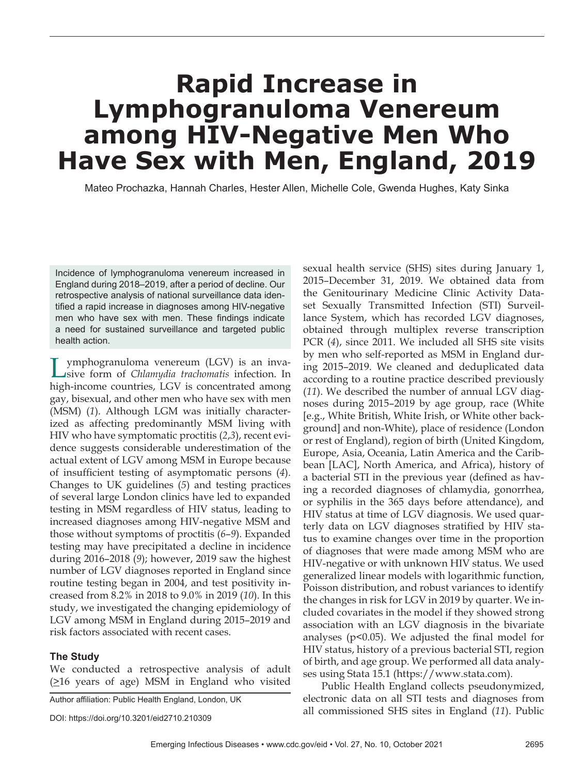# **Rapid Increase in Lymphogranuloma Venereum among HIV-Negative Men Who Have Sex with Men, England, 2019**

Mateo Prochazka, Hannah Charles, Hester Allen, Michelle Cole, Gwenda Hughes, Katy Sinka

Incidence of lymphogranuloma venereum increased in England during 2018–2019, after a period of decline. Our retrospective analysis of national surveillance data identified a rapid increase in diagnoses among HIV-negative men who have sex with men. These findings indicate a need for sustained surveillance and targeted public health action.

Lymphogranuloma venereum (LGV) is an inva-sive form of *Chlamydia trachomatis* infection. In high-income countries, LGV is concentrated among gay, bisexual, and other men who have sex with men (MSM) (*1*). Although LGM was initially characterized as affecting predominantly MSM living with HIV who have symptomatic proctitis (*2*,*3*), recent evidence suggests considerable underestimation of the actual extent of LGV among MSM in Europe because of insufficient testing of asymptomatic persons  $(4)$ . Changes to UK guidelines (*5*) and testing practices of several large London clinics have led to expanded testing in MSM regardless of HIV status, leading to increased diagnoses among HIV-negative MSM and those without symptoms of proctitis (*6*–*9*). Expanded testing may have precipitated a decline in incidence during 2016–2018 (*9*); however, 2019 saw the highest number of LGV diagnoses reported in England since routine testing began in 2004, and test positivity increased from 8.2% in 2018 to 9.0% in 2019 (*10*). In this study, we investigated the changing epidemiology of LGV among MSM in England during 2015–2019 and risk factors associated with recent cases.

# **The Study**

We conducted a retrospective analysis of adult  $(216$  years of age) MSM in England who visited

Author affiliation: Public Health England, London, UK

DOI: https://doi.org/10.3201/eid2710.210309

sexual health service (SHS) sites during January 1, 2015–December 31, 2019. We obtained data from the Genitourinary Medicine Clinic Activity Dataset Sexually Transmitted Infection (STI) Surveillance System, which has recorded LGV diagnoses, obtained through multiplex reverse transcription PCR (*4*), since 2011. We included all SHS site visits by men who self-reported as MSM in England during 2015–2019. We cleaned and deduplicated data according to a routine practice described previously (*11*). We described the number of annual LGV diagnoses during 2015–2019 by age group, race (White [e.g., White British, White Irish, or White other background] and non-White), place of residence (London or rest of England), region of birth (United Kingdom, Europe, Asia, Oceania, Latin America and the Caribbean [LAC], North America, and Africa), history of a bacterial STI in the previous year (defined as having a recorded diagnoses of chlamydia, gonorrhea, or syphilis in the 365 days before attendance), and HIV status at time of LGV diagnosis. We used quarterly data on LGV diagnoses stratified by HIV status to examine changes over time in the proportion of diagnoses that were made among MSM who are HIV-negative or with unknown HIV status. We used generalized linear models with logarithmic function, Poisson distribution, and robust variances to identify the changes in risk for LGV in 2019 by quarter. We included covariates in the model if they showed strong association with an LGV diagnosis in the bivariate analyses ( $p$ <0.05). We adjusted the final model for HIV status, history of a previous bacterial STI, region of birth, and age group. We performed all data analyses using Stata 15.1 (https://www.stata.com).

Public Health England collects pseudonymized, electronic data on all STI tests and diagnoses from all commissioned SHS sites in England (*11*). Public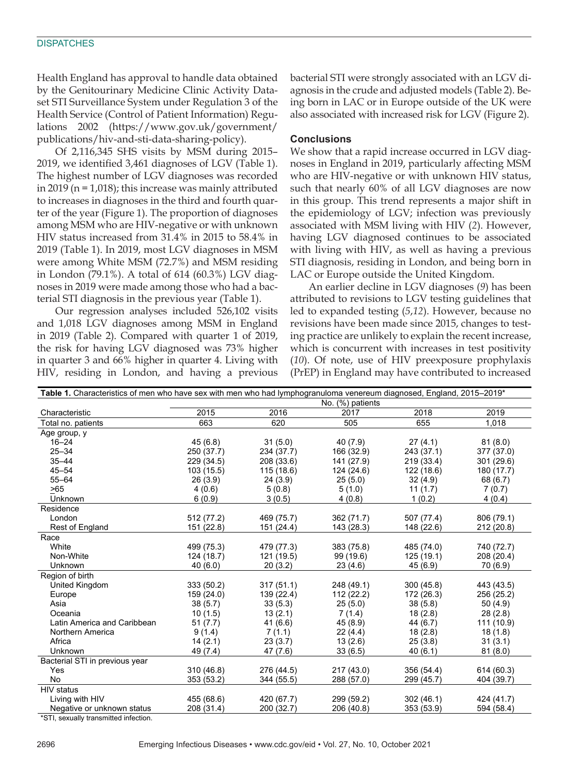#### **DISPATCHES**

Health England has approval to handle data obtained by the Genitourinary Medicine Clinic Activity Dataset STI Surveillance System under Regulation 3 of the Health Service (Control of Patient Information) Regulations 2002 (https://www.gov.uk/government/ publications/hiv-and-sti-data-sharing-policy).

Of 2,116,345 SHS visits by MSM during 2015– 2019, we identified 3,461 diagnoses of LGV (Table 1). The highest number of LGV diagnoses was recorded in 2019 (n = 1,018); this increase was mainly attributed to increases in diagnoses in the third and fourth quarter of the year (Figure 1). The proportion of diagnoses among MSM who are HIV-negative or with unknown HIV status increased from 31.4% in 2015 to 58.4% in 2019 (Table 1). In 2019, most LGV diagnoses in MSM were among White MSM (72.7%) and MSM residing in London (79.1%). A total of 614 (60.3%) LGV diagnoses in 2019 were made among those who had a bacterial STI diagnosis in the previous year (Table 1).

Our regression analyses included 526,102 visits and 1,018 LGV diagnoses among MSM in England in 2019 (Table 2). Compared with quarter 1 of 2019, the risk for having LGV diagnosed was 73% higher in quarter 3 and 66% higher in quarter 4. Living with HIV, residing in London, and having a previous bacterial STI were strongly associated with an LGV diagnosis in the crude and adjusted models (Table 2). Being born in LAC or in Europe outside of the UK were also associated with increased risk for LGV (Figure 2).

#### **Conclusions**

We show that a rapid increase occurred in LGV diagnoses in England in 2019, particularly affecting MSM who are HIV-negative or with unknown HIV status, such that nearly 60% of all LGV diagnoses are now in this group. This trend represents a major shift in the epidemiology of LGV; infection was previously associated with MSM living with HIV (*2*). However, having LGV diagnosed continues to be associated with living with HIV, as well as having a previous STI diagnosis, residing in London, and being born in LAC or Europe outside the United Kingdom.

An earlier decline in LGV diagnoses (*9*) has been attributed to revisions to LGV testing guidelines that led to expanded testing (*5*,*12*). However, because no revisions have been made since 2015, changes to testing practice are unlikely to explain the recent increase, which is concurrent with increases in test positivity (*10*). Of note, use of HIV preexposure prophylaxis (PrEP) in England may have contributed to increased

| No. (%) patients<br>2017<br>2019<br>2015<br>2016<br>2018<br>Characteristic<br>663<br>620<br>655<br>505<br>1.018<br>Total no. patients<br>Age group, y                                        |  |
|----------------------------------------------------------------------------------------------------------------------------------------------------------------------------------------------|--|
|                                                                                                                                                                                              |  |
|                                                                                                                                                                                              |  |
|                                                                                                                                                                                              |  |
|                                                                                                                                                                                              |  |
| 45(6.8)<br>31(5.0)<br>$16 - 24$<br>40 (7.9)<br>27(4.1)<br>81(8.0)                                                                                                                            |  |
| $25 - 34$<br>250 (37.7)<br>234 (37.7)<br>166 (32.9)<br>243 (37.1)<br>377 (37.0)                                                                                                              |  |
| $35 - 44$<br>208 (33.6)<br>141 (27.9)<br>219 (33.4)<br>301 (29.6)<br>229 (34.5)                                                                                                              |  |
| $45 - 54$<br>103(15.5)<br>115 (18.6)<br>124 (24.6)<br>122 (18.6)<br>180 (17.7)                                                                                                               |  |
| $55 - 64$<br>25(5.0)<br>26(3.9)<br>24(3.9)<br>32(4.9)<br>68 (6.7)                                                                                                                            |  |
| >65<br>4(0.6)<br>11(1.7)<br>5(0.8)<br>5(1.0)<br>7(0.7)                                                                                                                                       |  |
| Unknown<br>6(0.9)<br>3(0.5)<br>4(0.8)<br>1(0.2)<br>4(0.4)                                                                                                                                    |  |
| Residence                                                                                                                                                                                    |  |
| London<br>512 (77.2)<br>469 (75.7)<br>362 (71.7)<br>507 (77.4)<br>806 (79.1)                                                                                                                 |  |
| Rest of England<br>151 (22.8)<br>151 (24.4)<br>143 (28.3)<br>148 (22.6)<br>212 (20.8)                                                                                                        |  |
| Race                                                                                                                                                                                         |  |
| White<br>499 (75.3)<br>479 (77.3)<br>383 (75.8)<br>485 (74.0)<br>740 (72.7)                                                                                                                  |  |
| Non-White<br>124 (18.7)<br>125(19.1)<br>208 (20.4)<br>121 (19.5)<br>99 (19.6)                                                                                                                |  |
| Unknown<br>40(6.0)<br>20(3.2)<br>23(4.6)<br>45(6.9)<br>70 (6.9)                                                                                                                              |  |
| Region of birth                                                                                                                                                                              |  |
| United Kingdom<br>333 (50.2)<br>317(51.1)<br>248 (49.1)<br>300(45.8)<br>443 (43.5)                                                                                                           |  |
| 159 (24.0)<br>139 (22.4)<br>112 (22.2)<br>172 (26.3)<br>256 (25.2)<br>Europe                                                                                                                 |  |
| Asia<br>38(5.7)<br>33(5.3)<br>25(5.0)<br>38(5.8)<br>50(4.9)                                                                                                                                  |  |
| Oceania<br>10(1.5)<br>13(2.1)<br>7(1.4)<br>18(2.8)<br>28(2.8)                                                                                                                                |  |
| Latin America and Caribbean<br>41(6.6)<br>45(8.9)<br>51 (7.7)<br>44 (6.7)<br>111 (10.9)                                                                                                      |  |
| 18(2.8)<br>Northern America<br>9(1.4)<br>7(1.1)<br>22(4.4)<br>18(1.8)                                                                                                                        |  |
| Africa<br>14(2.1)<br>23(3.7)<br>13(2.6)<br>25(3.8)<br>31(3.1)                                                                                                                                |  |
| 47(7.6)<br>33(6.5)<br>40(6.1)<br>81(8.0)<br>Unknown<br>49 (7.4)                                                                                                                              |  |
| Bacterial STI in previous year                                                                                                                                                               |  |
| 310 (46.8)<br>Yes<br>276 (44.5)<br>217 (43.0)<br>356 (54.4)<br>614 (60.3)                                                                                                                    |  |
| No<br>353 (53.2)<br>344 (55.5)<br>288 (57.0)<br>299 (45.7)<br>404 (39.7)                                                                                                                     |  |
| <b>HIV</b> status                                                                                                                                                                            |  |
| Living with HIV<br>455 (68.6)<br>420 (67.7)<br>299 (59.2)<br>302(46.1)<br>424 (41.7)                                                                                                         |  |
| Negative or unknown status<br>208 (31.4)<br>200 (32.7)<br>206 (40.8)<br>353 (53.9)<br>594 (58.4)<br>$+0+1$<br>and the company of the company of the company of the company of the company of |  |

\*STI, sexually transmitted infection.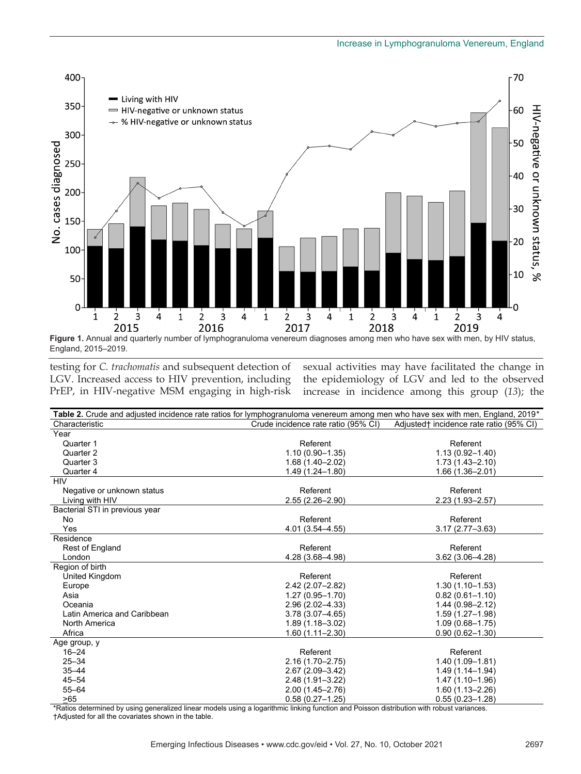

England, 2015–2019.

testing for *C. trachomatis* and subsequent detection of LGV. Increased access to HIV prevention, including PrEP, in HIV-negative MSM engaging in high-risk

sexual activities may have facilitated the change in the epidemiology of LGV and led to the observed increase in incidence among this group (*13*); the

| Table 2. Crude and adjusted incidence rate ratios for lymphogranuloma venereum among men who have sex with men, England, 2019* |                                     |                                          |  |
|--------------------------------------------------------------------------------------------------------------------------------|-------------------------------------|------------------------------------------|--|
| Characteristic                                                                                                                 | Crude incidence rate ratio (95% CI) | Adjusted t incidence rate ratio (95% CI) |  |
| Year                                                                                                                           |                                     |                                          |  |
| Quarter 1                                                                                                                      | Referent                            | Referent                                 |  |
| Quarter 2                                                                                                                      | $1.10(0.90 - 1.35)$                 | $1.13(0.92 - 1.40)$                      |  |
| Quarter 3                                                                                                                      | $1.68(1.40 - 2.02)$                 | $1.73(1.43 - 2.10)$                      |  |
| Quarter 4                                                                                                                      | 1.49 (1.24-1.80)                    | 1.66 (1.36-2.01)                         |  |
| <b>HIV</b>                                                                                                                     |                                     |                                          |  |
| Negative or unknown status                                                                                                     | Referent                            | Referent                                 |  |
| Living with HIV                                                                                                                | $2.55(2.26 - 2.90)$                 | $2.23(1.93 - 2.57)$                      |  |
| Bacterial STI in previous year                                                                                                 |                                     |                                          |  |
| No.                                                                                                                            | Referent                            | Referent                                 |  |
| Yes                                                                                                                            | $4.01(3.54 - 4.55)$                 | $3.17(2.77 - 3.63)$                      |  |
| Residence                                                                                                                      |                                     |                                          |  |
| Rest of England                                                                                                                | Referent                            | Referent                                 |  |
| London                                                                                                                         | 4.28 (3.68-4.98)                    | $3.62(3.06 - 4.28)$                      |  |
| Region of birth                                                                                                                |                                     |                                          |  |
| United Kingdom                                                                                                                 | Referent                            | Referent                                 |  |
| Europe                                                                                                                         | $2.42(2.07 - 2.82)$                 | $1.30(1.10 - 1.53)$                      |  |
| Asia                                                                                                                           | $1.27(0.95 - 1.70)$                 | $0.82(0.61 - 1.10)$                      |  |
| Oceania                                                                                                                        | 2.96 (2.02-4.33)                    | $1.44(0.98 - 2.12)$                      |  |
| Latin America and Caribbean                                                                                                    | $3.78(3.07 - 4.65)$                 | $1.59(1.27 - 1.98)$                      |  |
| North America                                                                                                                  | $1.89(1.18 - 3.02)$                 | $1.09(0.68 - 1.75)$                      |  |
| Africa                                                                                                                         | $1.60(1.11 - 2.30)$                 | $0.90(0.62 - 1.30)$                      |  |
| Age group, y                                                                                                                   |                                     |                                          |  |
| $16 - 24$                                                                                                                      | Referent                            | Referent                                 |  |
| $25 - 34$                                                                                                                      | $2.16(1.70 - 2.75)$                 | $1.40(1.09 - 1.81)$                      |  |
| $35 - 44$                                                                                                                      | $2.67(2.09 - 3.42)$                 | $1.49(1.14 - 1.94)$                      |  |
| $45 - 54$                                                                                                                      | 2.48 (1.91-3.22)                    | $1.47(1.10-1.96)$                        |  |
| $55 - 64$                                                                                                                      | $2.00(1.45 - 2.76)$                 | $1.60(1.13 - 2.26)$                      |  |
| >65                                                                                                                            | $0.58(0.27 - 1.25)$                 | $0.55(0.23 - 1.28)$                      |  |

\*Ratios determined by using generalized linear models using a logarithmic linking function and Poisson distribution with robust variances. †Adjusted for all the covariates shown in the table.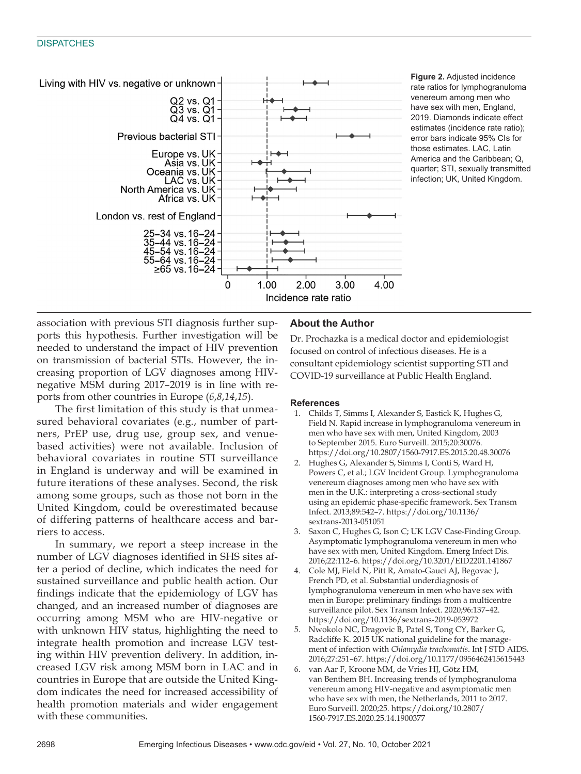# **DISPATCHES**



**Figure 2.** Adjusted incidence rate ratios for lymphogranuloma venereum among men who have sex with men, England, 2019. Diamonds indicate effect estimates (incidence rate ratio); error bars indicate 95% CIs for those estimates. LAC, Latin America and the Caribbean; Q, quarter; STI, sexually transmitted infection; UK, United Kingdom.

association with previous STI diagnosis further supports this hypothesis. Further investigation will be needed to understand the impact of HIV prevention on transmission of bacterial STIs. However, the increasing proportion of LGV diagnoses among HIVnegative MSM during 2017–2019 is in line with reports from other countries in Europe (*6*,*8*,*14*,*15*).

The first limitation of this study is that unmeasured behavioral covariates (e.g., number of partners, PrEP use, drug use, group sex, and venuebased activities) were not available. Inclusion of behavioral covariates in routine STI surveillance in England is underway and will be examined in future iterations of these analyses. Second, the risk among some groups, such as those not born in the United Kingdom, could be overestimated because of differing patterns of healthcare access and barriers to access.

In summary, we report a steep increase in the number of LGV diagnoses identified in SHS sites after a period of decline, which indicates the need for sustained surveillance and public health action. Our findings indicate that the epidemiology of LGV has changed, and an increased number of diagnoses are occurring among MSM who are HIV-negative or with unknown HIV status, highlighting the need to integrate health promotion and increase LGV testing within HIV prevention delivery. In addition, increased LGV risk among MSM born in LAC and in countries in Europe that are outside the United Kingdom indicates the need for increased accessibility of health promotion materials and wider engagement with these communities.

# **About the Author**

Dr. Prochazka is a medical doctor and epidemiologist focused on control of infectious diseases. He is a consultant epidemiology scientist supporting STI and COVID-19 surveillance at Public Health England.

# **References**

- 1. Childs T, Simms I, Alexander S, Eastick K, Hughes G, Field N. Rapid increase in lymphogranuloma venereum in men who have sex with men, United Kingdom, 2003 to September 2015. Euro Surveill. 2015;20:30076. https://doi.org/10.2807/1560-7917.ES.2015.20.48.30076
- 2. Hughes G, Alexander S, Simms I, Conti S, Ward H, Powers C, et al.; LGV Incident Group. Lymphogranuloma venereum diagnoses among men who have sex with men in the U.K.: interpreting a cross-sectional study using an epidemic phase-specific framework. Sex Transm Infect. 2013;89:542–7. https://doi.org/10.1136/ sextrans-2013-051051
- 3. Saxon C, Hughes G, Ison C; UK LGV Case-Finding Group. Asymptomatic lymphogranuloma venereum in men who have sex with men, United Kingdom. Emerg Infect Dis. 2016;22:112–6. https://doi.org/10.3201/EID2201.141867
- 4. Cole MJ, Field N, Pitt R, Amato-Gauci AJ, Begovac J, French PD, et al. Substantial underdiagnosis of lymphogranuloma venereum in men who have sex with men in Europe: preliminary findings from a multicentre surveillance pilot. Sex Transm Infect. 2020;96:137–42. https://doi.org/10.1136/sextrans-2019-053972
- 5. Nwokolo NC, Dragovic B, Patel S, Tong CY, Barker G, Radcliffe K. 2015 UK national guideline for the management of infection with *Chlamydia trachomatis*. Int J STD AIDS. 2016;27:251–67. https://doi.org/10.1177/0956462415615443
- 6. van Aar F, Kroone MM, de Vries HJ, Götz HM, van Benthem BH. Increasing trends of lymphogranuloma venereum among HIV-negative and asymptomatic men who have sex with men, the Netherlands, 2011 to 2017. Euro Surveill. 2020;25. https://doi.org/10.2807/ 1560-7917.ES.2020.25.14.1900377